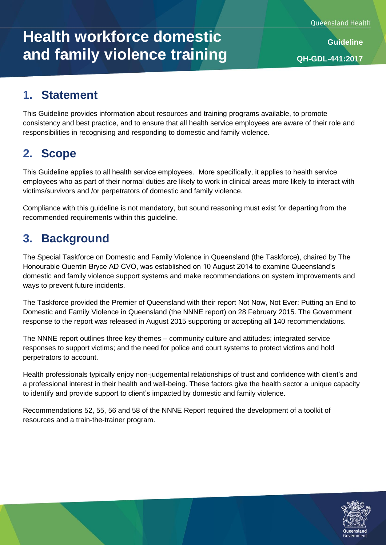# **Health workforce domestic and family violence training**

**Guideline QH-GDL-441:2017**

### **1. Statement**

This Guideline provides information about resources and training programs available, to promote consistency and best practice, and to ensure that all health service employees are aware of their role and responsibilities in recognising and responding to domestic and family violence.

### **2. Scope**

This Guideline applies to all health service employees. More specifically, it applies to health service employees who as part of their normal duties are likely to work in clinical areas more likely to interact with victims/survivors and /or perpetrators of domestic and family violence.

Compliance with this guideline is not mandatory, but sound reasoning must exist for departing from the recommended requirements within this guideline.

### **3. Background**

The Special Taskforce on Domestic and Family Violence in Queensland (the Taskforce), chaired by The Honourable Quentin Bryce AD CVO, was established on 10 August 2014 to examine Queensland's domestic and family violence support systems and make recommendations on system improvements and ways to prevent future incidents.

The Taskforce provided the Premier of Queensland with their report Not Now, Not Ever: Putting an End to Domestic and Family Violence in Queensland (the NNNE report) on 28 February 2015. The Government response to the report was released in August 2015 supporting or accepting all 140 recommendations.

The NNNE report outlines three key themes – community culture and attitudes; integrated service responses to support victims; and the need for police and court systems to protect victims and hold perpetrators to account.

Health professionals typically enjoy non-judgemental relationships of trust and confidence with client's and a professional interest in their health and well-being. These factors give the health sector a unique capacity to identify and provide support to client's impacted by domestic and family violence.

Recommendations 52, 55, 56 and 58 of the NNNE Report required the development of a toolkit of resources and a train-the-trainer program.

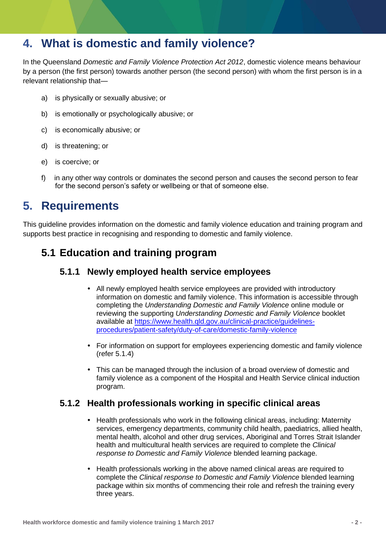### **4. What is domestic and family violence?**

In the Queensland *Domestic and Family Violence Protection Act 2012*, domestic violence means behaviour by a person (the first person) towards another person (the second person) with whom the first person is in a relevant relationship that—

- a) is physically or sexually abusive; or
- b) is emotionally or psychologically abusive; or
- c) is economically abusive; or
- d) is threatening; or
- e) is coercive; or
- f) in any other way controls or dominates the second person and causes the second person to fear for the second person's safety or wellbeing or that of someone else.

### **5. Requirements**

This guideline provides information on the domestic and family violence education and training program and supports best practice in recognising and responding to domestic and family violence.

#### **5.1 Education and training program**

#### **5.1.1 Newly employed health service employees**

- All newly employed health service employees are provided with introductory information on domestic and family violence. This information is accessible through completing the *Understanding Domestic and Family Violence* online module or reviewing the supporting *Understanding Domestic and Family Violence* booklet available at [https://www.health.qld.gov.au/clinical-practice/guidelines](https://www.health.qld.gov.au/clinical-practice/guidelines-procedures/patient-safety/duty-of-care/domestic-family-violence)[procedures/patient-safety/duty-of-care/domestic-family-violence](https://www.health.qld.gov.au/clinical-practice/guidelines-procedures/patient-safety/duty-of-care/domestic-family-violence)
- For information on support for employees experiencing domestic and family violence (refer 5.1.4)
- This can be managed through the inclusion of a broad overview of domestic and family violence as a component of the Hospital and Health Service clinical induction program.

#### **5.1.2 Health professionals working in specific clinical areas**

- Health professionals who work in the following clinical areas, including: Maternity services, emergency departments, community child health, paediatrics, allied health, mental health, alcohol and other drug services, Aboriginal and Torres Strait Islander health and multicultural health services are required to complete the *Clinical response to Domestic and Family Violence* blended learning package.
- Health professionals working in the above named clinical areas are required to complete the *Clinical response to Domestic and Family Violence* blended learning package within six months of commencing their role and refresh the training every three years.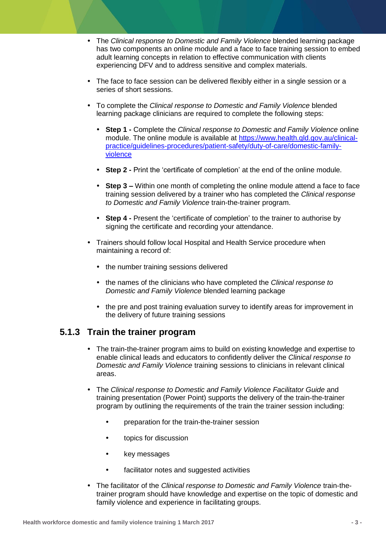- The *Clinical response to Domestic and Family Violence* blended learning package has two components an online module and a face to face training session to embed adult learning concepts in relation to effective communication with clients experiencing DFV and to address sensitive and complex materials.
- The face to face session can be delivered flexibly either in a single session or a series of short sessions.
- To complete the *Clinical response to Domestic and Family Violence* blended learning package clinicians are required to complete the following steps:
	- **Step 1 -** Complete the *Clinical response to Domestic and Family Violence* online module. The online module is available at [https://www.health.qld.gov.au/clinical](https://www.health.qld.gov.au/clinical-practice/guidelines-procedures/patient-safety/duty-of-care/domestic-family-violence)[practice/guidelines-procedures/patient-safety/duty-of-care/domestic-family](https://www.health.qld.gov.au/clinical-practice/guidelines-procedures/patient-safety/duty-of-care/domestic-family-violence)[violence](https://www.health.qld.gov.au/clinical-practice/guidelines-procedures/patient-safety/duty-of-care/domestic-family-violence)
	- **Step 2 -** Print the 'certificate of completion' at the end of the online module.
	- **Step 3 –** Within one month of completing the online module attend a face to face training session delivered by a trainer who has completed the *Clinical response to Domestic and Family Violence* train-the-trainer program.
	- **Step 4 -** Present the 'certificate of completion' to the trainer to authorise by signing the certificate and recording your attendance.
- Trainers should follow local Hospital and Health Service procedure when maintaining a record of:
	- the number training sessions delivered
	- the names of the clinicians who have completed the *Clinical response to Domestic and Family Violence* blended learning package
	- the pre and post training evaluation survey to identify areas for improvement in the delivery of future training sessions

#### **5.1.3 Train the trainer program**

- The train-the-trainer program aims to build on existing knowledge and expertise to enable clinical leads and educators to confidently deliver the *Clinical response to Domestic and Family Violence* training sessions to clinicians in relevant clinical areas.
- The *Clinical response to Domestic and Family Violence Facilitator Guide* and training presentation (Power Point) supports the delivery of the train-the-trainer program by outlining the requirements of the train the trainer session including:
	- preparation for the train-the-trainer session
	- topics for discussion
	- key messages
	- facilitator notes and suggested activities
- The facilitator of the *Clinical response to Domestic and Family Violence* train-thetrainer program should have knowledge and expertise on the topic of domestic and family violence and experience in facilitating groups.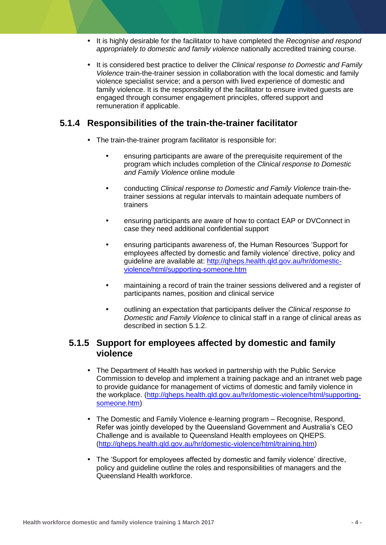- It is highly desirable for the facilitator to have completed the *Recognise and respond appropriately to domestic and family violence* nationally accredited training course.
- It is considered best practice to deliver the *Clinical response to Domestic and Family Violence* train-the-trainer session in collaboration with the local domestic and family violence specialist service; and a person with lived experience of domestic and family violence. It is the responsibility of the facilitator to ensure invited guests are engaged through consumer engagement principles, offered support and remuneration if applicable.

#### **5.1.4 Responsibilities of the train-the-trainer facilitator**

- The train-the-trainer program facilitator is responsible for:
	- ensuring participants are aware of the prerequisite requirement of the program which includes completion of the *Clinical response to Domestic and Family Violence* online module
	- conducting *Clinical response to Domestic and Family Violence* train-thetrainer sessions at regular intervals to maintain adequate numbers of trainers
	- ensuring participants are aware of how to contact EAP or DVConnect in case they need additional confidential support
	- ensuring participants awareness of, the Human Resources 'Support for employees affected by domestic and family violence' directive, policy and guideline are available at: [http://qheps.health.qld.gov.au/hr/domestic](http://qheps.health.qld.gov.au/hr/domestic-violence/html/supporting-someone.htm)[violence/html/supporting-someone.htm](http://qheps.health.qld.gov.au/hr/domestic-violence/html/supporting-someone.htm)
	- maintaining a record of train the trainer sessions delivered and a register of participants names, position and clinical service
	- outlining an expectation that participants deliver the *Clinical response to Domestic and Family Violence* to clinical staff in a range of clinical areas as described in section 5.1.2.

#### **5.1.5 Support for employees affected by domestic and family violence**

- The Department of Health has worked in partnership with the Public Service Commission to develop and implement a training package and an intranet web page to provide guidance for management of victims of domestic and family violence in the workplace. [\(http://qheps.health.qld.gov.au/hr/domestic-violence/html/supporting](http://qheps.health.qld.gov.au/hr/domestic-violence/html/supporting-someone.htm)[someone.htm\)](http://qheps.health.qld.gov.au/hr/domestic-violence/html/supporting-someone.htm)
- The Domestic and Family Violence e-learning program Recognise, Respond, Refer was jointly developed by the Queensland Government and Australia's CEO Challenge and is available to Queensland Health employees on QHEPS. [\(http://qheps.health.qld.gov.au/hr/domestic-violence/html/training.htm\)](http://qheps.health.qld.gov.au/hr/domestic-violence/html/training.htm)
- The 'Support for employees affected by domestic and family violence' directive, policy and guideline outline the roles and responsibilities of managers and the Queensland Health workforce.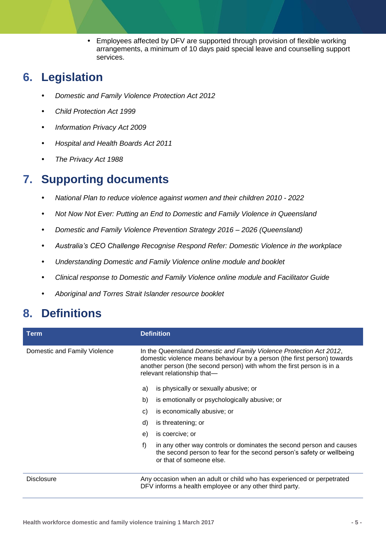Employees affected by DFV are supported through provision of flexible working arrangements, a minimum of 10 days paid special leave and counselling support services.

### **6. Legislation**

- *Domestic and Family Violence Protection Act 2012*
- *Child Protection Act 1999*
- *Information Privacy Act 2009*
- *Hospital and Health Boards Act 2011*
- *The Privacy Act 1988*

### **7. Supporting documents**

- *National Plan to reduce violence against women and their children 2010 - 2022*
- *Not Now Not Ever: Putting an End to Domestic and Family Violence in Queensland*
- *Domestic and Family Violence Prevention Strategy 2016 – 2026 (Queensland)*
- *Australia's CEO Challenge Recognise Respond Refer: Domestic Violence in the workplace*
- *Understanding Domestic and Family Violence online module and booklet*
- *Clinical response to Domestic and Family Violence online module and Facilitator Guide*
- *Aboriginal and Torres Strait Islander resource booklet*

### **8. Definitions**

| Term                         | <b>Definition</b>                                                                                                                                                                                                                                       |
|------------------------------|---------------------------------------------------------------------------------------------------------------------------------------------------------------------------------------------------------------------------------------------------------|
| Domestic and Family Violence | In the Queensland Domestic and Family Violence Protection Act 2012,<br>domestic violence means behaviour by a person (the first person) towards<br>another person (the second person) with whom the first person is in a<br>relevant relationship that- |
|                              | is physically or sexually abusive; or<br>a)                                                                                                                                                                                                             |
|                              | b)<br>is emotionally or psychologically abusive; or                                                                                                                                                                                                     |
|                              | is economically abusive; or<br>C)                                                                                                                                                                                                                       |
|                              | is threatening; or<br>d)                                                                                                                                                                                                                                |
|                              | is coercive; or<br>e)                                                                                                                                                                                                                                   |
|                              | f)<br>in any other way controls or dominates the second person and causes<br>the second person to fear for the second person's safety or wellbeing<br>or that of someone else.                                                                          |
| <b>Disclosure</b>            | Any occasion when an adult or child who has experienced or perpetrated<br>DFV informs a health employee or any other third party.                                                                                                                       |